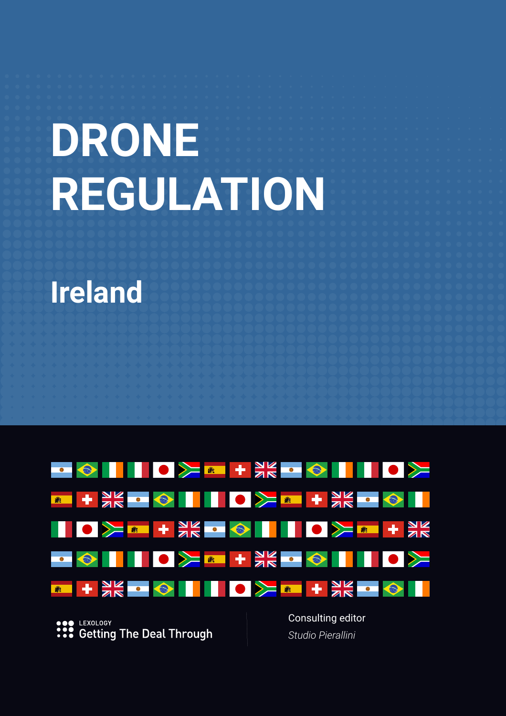# **DRONE REGULATION**

# **Ireland**



LEXOLOGY **Getting The Deal Through**  Consulting editor *Studio Pierallini*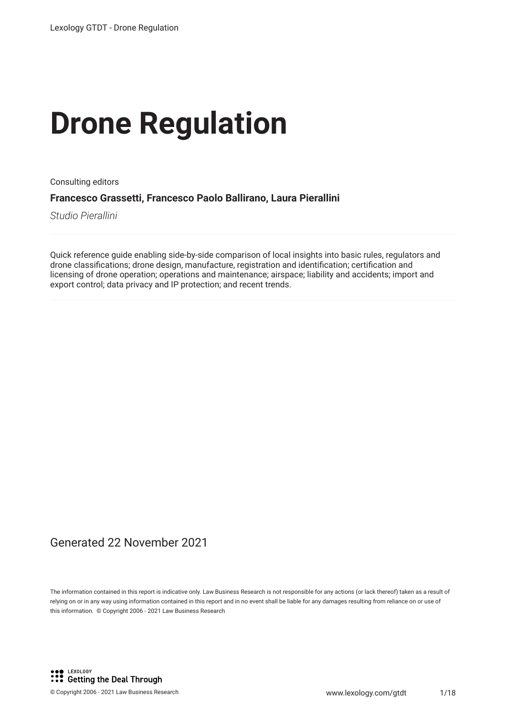# **Drone Regulation**

Consulting editors

**Francesco Grassetti, Francesco Paolo Ballirano, Laura Pierallini**

*Studio Pierallini*

Quick reference guide enabling side-by-side comparison of local insights into basic rules, regulators and drone classifcations; drone design, manufacture, registration and identifcation; certifcation and licensing of drone operation; operations and maintenance; airspace; liability and accidents; import and export control; data privacy and IP protection; and recent trends.

#### Generated 22 November 2021

The information contained in this report is indicative only. Law Business Research is not responsible for any actions (or lack thereof) taken as a result of relying on or in any way using information contained in this report and in no event shall be liable for any damages resulting from reliance on or use of this information. © Copyright 2006 - 2021 Law Business Research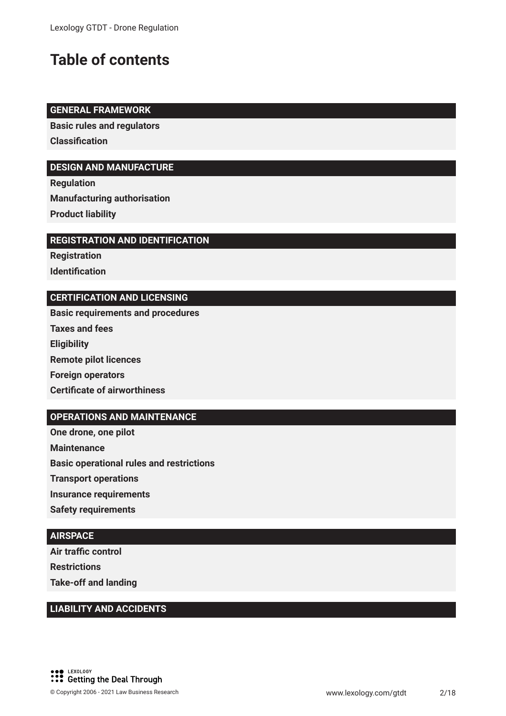### **Table of contents**

#### **GENERAL FRAMEWORK**

**Basic rules and regulators Classifcation**

#### **DESIGN AND MANUFACTURE**

**Regulation Manufacturing authorisation Product liability**

#### **REGISTRATION AND IDENTIFICATION**

**Registration Identifcation**

#### **CERTIFICATION AND LICENSING**

**Basic requirements and procedures**

- **Taxes and fees**
- **Eligibility**
- **Remote pilot licences**
- **Foreign operators**

#### **Certifcate of airworthiness**

#### **OPERATIONS AND MAINTENANCE**

**One drone, one pilot**

**Maintenance**

**Basic operational rules and restrictions**

**Transport operations**

**Insurance requirements**

**Safety requirements**

#### **AIRSPACE**

**Air traffic control Restrictions Take-off and landing**

#### **LIABILITY AND ACCIDENTS**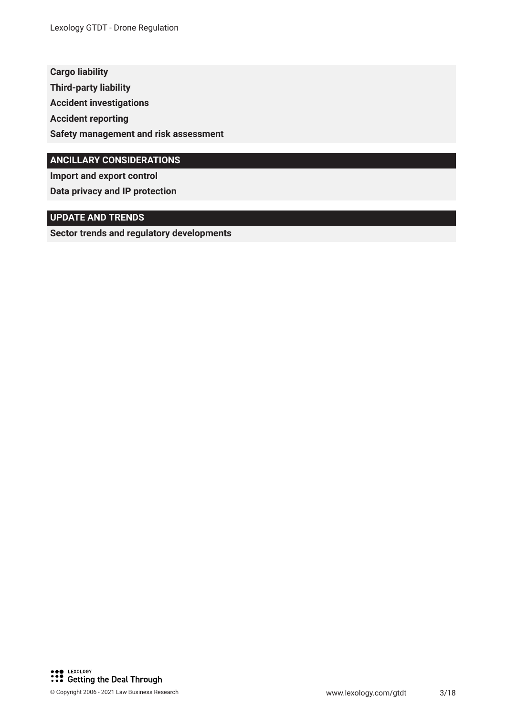**Cargo liability Third-party liability Accident investigations Accident reporting Safety management and risk assessment**

#### **ANCILLARY CONSIDERATIONS**

**Import and export control Data privacy and IP protection**

#### **UPDATE AND TRENDS**

**Sector trends and regulatory developments**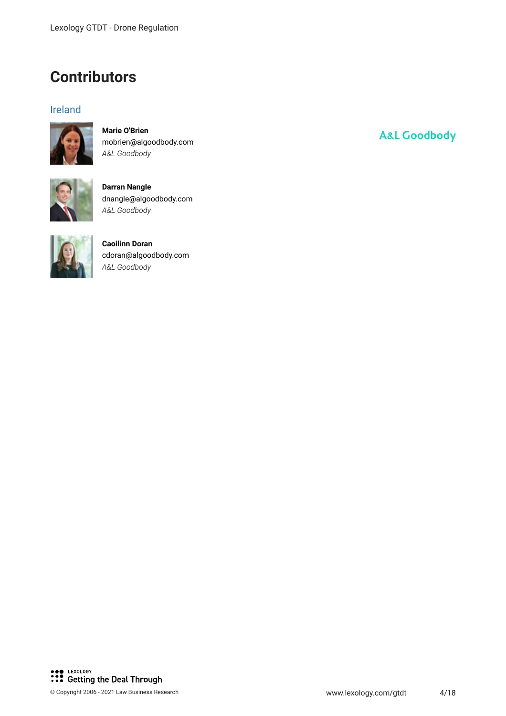### **Contributors**

#### Ireland



**Marie O'Brien** mobrien@algoodbody.com *A&L Goodbody*



**Darran Nangle** dnangle@algoodbody.com *A&L Goodbody*



**Caoilinn Doran** cdoran@algoodbody.com *A&L Goodbody*

## **A&L Goodbody**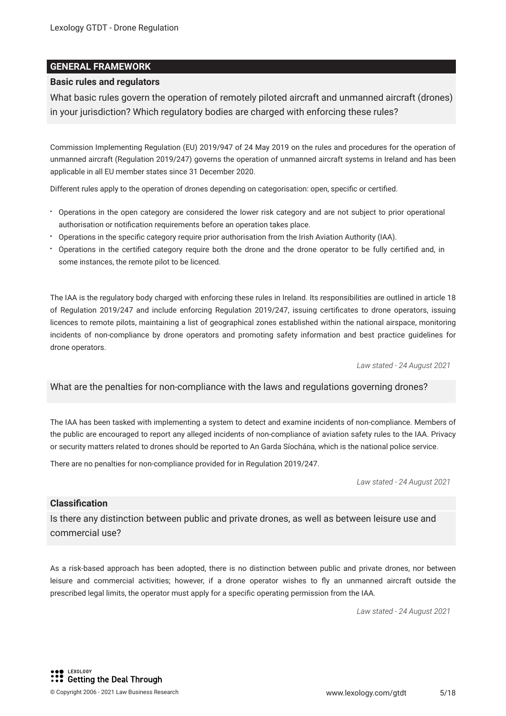#### **GENERAL FRAMEWORK**

#### **Basic rules and regulators**

What basic rules govern the operation of remotely piloted aircraft and unmanned aircraft (drones) in your jurisdiction? Which regulatory bodies are charged with enforcing these rules?

Commission Implementing Regulation (EU) 2019/947 of 24 May 2019 on the rules and procedures for the operation of unmanned aircraft (Regulation 2019/247) governs the operation of unmanned aircraft systems in Ireland and has been applicable in all EU member states since 31 December 2020.

Different rules apply to the operation of drones depending on categorisation: open, specifc or certifed.

- Operations in the open category are considered the lower risk category and are not subject to prior operational authorisation or notifcation requirements before an operation takes place.
- Operations in the specifc category require prior authorisation from the Irish Aviation Authority (IAA).
- Operations in the certifed category require both the drone and the drone operator to be fully certifed and, in some instances, the remote pilot to be licenced.

The IAA is the regulatory body charged with enforcing these rules in Ireland. Its responsibilities are outlined in article 18 of Regulation 2019/247 and include enforcing Regulation 2019/247, issuing certifcates to drone operators, issuing licences to remote pilots, maintaining a list of geographical zones established within the national airspace, monitoring incidents of non-compliance by drone operators and promoting safety information and best practice guidelines for drone operators.

*Law stated - 24 August 2021*

#### What are the penalties for non-compliance with the laws and regulations governing drones?

The IAA has been tasked with implementing a system to detect and examine incidents of non-compliance. Members of the public are encouraged to report any alleged incidents of non-compliance of aviation safety rules to the IAA. Privacy or security matters related to drones should be reported to An Garda Síochána, which is the national police service.

There are no penalties for non-compliance provided for in Regulation 2019/247.

*Law stated - 24 August 2021*

#### **Classifcation**

Is there any distinction between public and private drones, as well as between leisure use and commercial use?

As a risk-based approach has been adopted, there is no distinction between public and private drones, nor between leisure and commercial activities; however, if a drone operator wishes to fy an unmanned aircraft outside the prescribed legal limits, the operator must apply for a specifc operating permission from the IAA.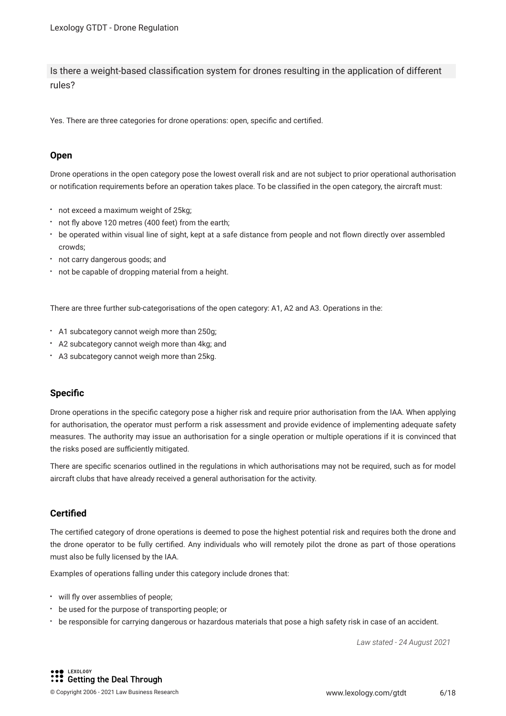Is there a weight-based classifcation system for drones resulting in the application of different rules?

Yes. There are three categories for drone operations: open, specifc and certifed.

#### **Open**

Drone operations in the open category pose the lowest overall risk and are not subject to prior operational authorisation or notifcation requirements before an operation takes place. To be classifed in the open category, the aircraft must:

- not exceed a maximum weight of 25kg;
- not fy above 120 metres (400 feet) from the earth;
- be operated within visual line of sight, kept at a safe distance from people and not fown directly over assembled crowds;
- not carry dangerous goods; and
- not be capable of dropping material from a height.

There are three further sub-categorisations of the open category: A1, A2 and A3. Operations in the:

- A1 subcategory cannot weigh more than 250g;
- A2 subcategory cannot weigh more than 4kg; and
- A3 subcategory cannot weigh more than 25kg.

#### **Specifc**

Drone operations in the specifc category pose a higher risk and require prior authorisation from the IAA. When applying for authorisation, the operator must perform a risk assessment and provide evidence of implementing adequate safety measures. The authority may issue an authorisation for a single operation or multiple operations if it is convinced that the risks posed are sufficiently mitigated.

There are specifc scenarios outlined in the regulations in which authorisations may not be required, such as for model aircraft clubs that have already received a general authorisation for the activity.

#### **Certifed**

The certifed category of drone operations is deemed to pose the highest potential risk and requires both the drone and the drone operator to be fully certifed. Any individuals who will remotely pilot the drone as part of those operations must also be fully licensed by the IAA.

Examples of operations falling under this category include drones that:

- will fly over assemblies of people;
- be used for the purpose of transporting people; or
- be responsible for carrying dangerous or hazardous materials that pose a high safety risk in case of an accident.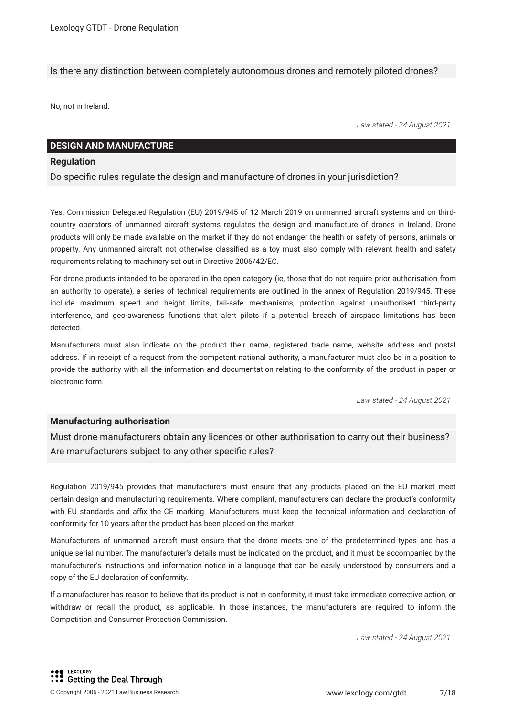Is there any distinction between completely autonomous drones and remotely piloted drones?

No, not in Ireland.

*Law stated - 24 August 2021*

#### **DESIGN AND MANUFACTURE**

#### **Regulation**

Do specifc rules regulate the design and manufacture of drones in your jurisdiction?

Yes. Commission Delegated Regulation (EU) 2019/945 of 12 March 2019 on unmanned aircraft systems and on thirdcountry operators of unmanned aircraft systems regulates the design and manufacture of drones in Ireland. Drone products will only be made available on the market if they do not endanger the health or safety of persons, animals or property. Any unmanned aircraft not otherwise classifed as a toy must also comply with relevant health and safety requirements relating to machinery set out in Directive 2006/42/EC.

For drone products intended to be operated in the open category (ie, those that do not require prior authorisation from an authority to operate), a series of technical requirements are outlined in the annex of Regulation 2019/945. These include maximum speed and height limits, fail-safe mechanisms, protection against unauthorised third-party interference, and geo-awareness functions that alert pilots if a potential breach of airspace limitations has been detected.

Manufacturers must also indicate on the product their name, registered trade name, website address and postal address. If in receipt of a request from the competent national authority, a manufacturer must also be in a position to provide the authority with all the information and documentation relating to the conformity of the product in paper or electronic form.

*Law stated - 24 August 2021*

#### **Manufacturing authorisation**

Must drone manufacturers obtain any licences or other authorisation to carry out their business? Are manufacturers subject to any other specific rules?

Regulation 2019/945 provides that manufacturers must ensure that any products placed on the EU market meet certain design and manufacturing requirements. Where compliant, manufacturers can declare the product's conformity with EU standards and affix the CE marking. Manufacturers must keep the technical information and declaration of conformity for 10 years after the product has been placed on the market.

Manufacturers of unmanned aircraft must ensure that the drone meets one of the predetermined types and has a unique serial number. The manufacturer's details must be indicated on the product, and it must be accompanied by the manufacturer's instructions and information notice in a language that can be easily understood by consumers and a copy of the EU declaration of conformity.

If a manufacturer has reason to believe that its product is not in conformity, it must take immediate corrective action, or withdraw or recall the product, as applicable. In those instances, the manufacturers are required to inform the Competition and Consumer Protection Commission.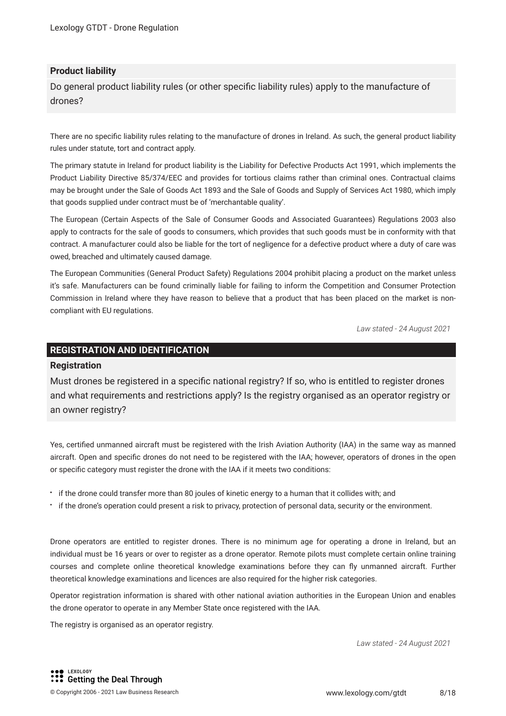#### **Product liability**

Do general product liability rules (or other specifc liability rules) apply to the manufacture of drones?

There are no specifc liability rules relating to the manufacture of drones in Ireland. As such, the general product liability rules under statute, tort and contract apply.

The primary statute in Ireland for product liability is the Liability for Defective Products Act 1991, which implements the Product Liability Directive 85/374/EEC and provides for tortious claims rather than criminal ones. Contractual claims may be brought under the Sale of Goods Act 1893 and the Sale of Goods and Supply of Services Act 1980, which imply that goods supplied under contract must be of 'merchantable quality'.

The European (Certain Aspects of the Sale of Consumer Goods and Associated Guarantees) Regulations 2003 also apply to contracts for the sale of goods to consumers, which provides that such goods must be in conformity with that contract. A manufacturer could also be liable for the tort of negligence for a defective product where a duty of care was owed, breached and ultimately caused damage.

The European Communities (General Product Safety) Regulations 2004 prohibit placing a product on the market unless it's safe. Manufacturers can be found criminally liable for failing to inform the Competition and Consumer Protection Commission in Ireland where they have reason to believe that a product that has been placed on the market is noncompliant with EU regulations.

*Law stated - 24 August 2021*

#### **REGISTRATION AND IDENTIFICATION**

#### **Registration**

Must drones be registered in a specifc national registry? If so, who is entitled to register drones and what requirements and restrictions apply? Is the registry organised as an operator registry or an owner registry?

Yes, certifed unmanned aircraft must be registered with the Irish Aviation Authority (IAA) in the same way as manned aircraft. Open and specifc drones do not need to be registered with the IAA; however, operators of drones in the open or specifc category must register the drone with the IAA if it meets two conditions:

- if the drone could transfer more than 80 joules of kinetic energy to a human that it collides with; and
- if the drone's operation could present a risk to privacy, protection of personal data, security or the environment.

Drone operators are entitled to register drones. There is no minimum age for operating a drone in Ireland, but an individual must be 16 years or over to register as a drone operator. Remote pilots must complete certain online training courses and complete online theoretical knowledge examinations before they can fy unmanned aircraft. Further theoretical knowledge examinations and licences are also required for the higher risk categories.

Operator registration information is shared with other national aviation authorities in the European Union and enables the drone operator to operate in any Member State once registered with the IAA.

The registry is organised as an operator registry.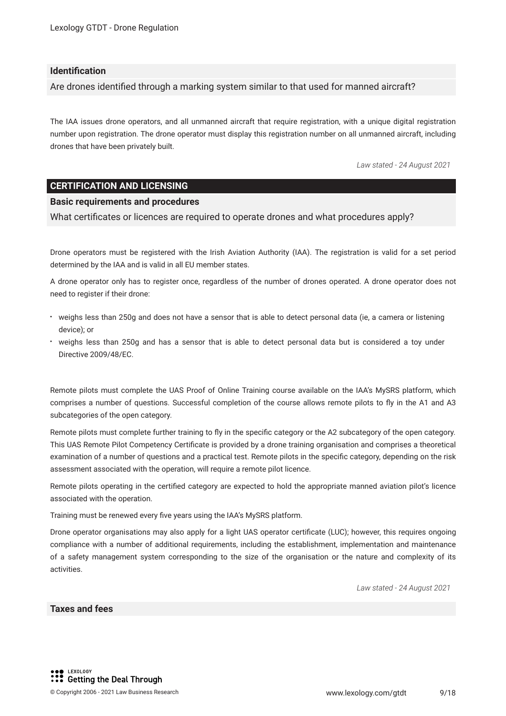#### **Identifcation**

Are drones identifed through a marking system similar to that used for manned aircraft?

The IAA issues drone operators, and all unmanned aircraft that require registration, with a unique digital registration number upon registration. The drone operator must display this registration number on all unmanned aircraft, including drones that have been privately built.

*Law stated - 24 August 2021*

#### **CERTIFICATION AND LICENSING**

#### **Basic requirements and procedures**

What certifcates or licences are required to operate drones and what procedures apply?

Drone operators must be registered with the Irish Aviation Authority (IAA). The registration is valid for a set period determined by the IAA and is valid in all EU member states.

A drone operator only has to register once, regardless of the number of drones operated. A drone operator does not need to register if their drone:

- weighs less than 250g and does not have a sensor that is able to detect personal data (ie, a camera or listening device); or
- weighs less than 250g and has a sensor that is able to detect personal data but is considered a toy under Directive 2009/48/EC.

Remote pilots must complete the UAS Proof of Online Training course available on the IAA's MySRS platform, which comprises a number of questions. Successful completion of the course allows remote pilots to fy in the A1 and A3 subcategories of the open category.

Remote pilots must complete further training to fy in the specifc category or the A2 subcategory of the open category. This UAS Remote Pilot Competency Certifcate is provided by a drone training organisation and comprises a theoretical examination of a number of questions and a practical test. Remote pilots in the specifc category, depending on the risk assessment associated with the operation, will require a remote pilot licence.

Remote pilots operating in the certifed category are expected to hold the appropriate manned aviation pilot's licence associated with the operation.

Training must be renewed every fve years using the IAA's MySRS platform.

Drone operator organisations may also apply for a light UAS operator certifcate (LUC); however, this requires ongoing compliance with a number of additional requirements, including the establishment, implementation and maintenance of a safety management system corresponding to the size of the organisation or the nature and complexity of its activities.

*Law stated - 24 August 2021*

#### **Taxes and fees**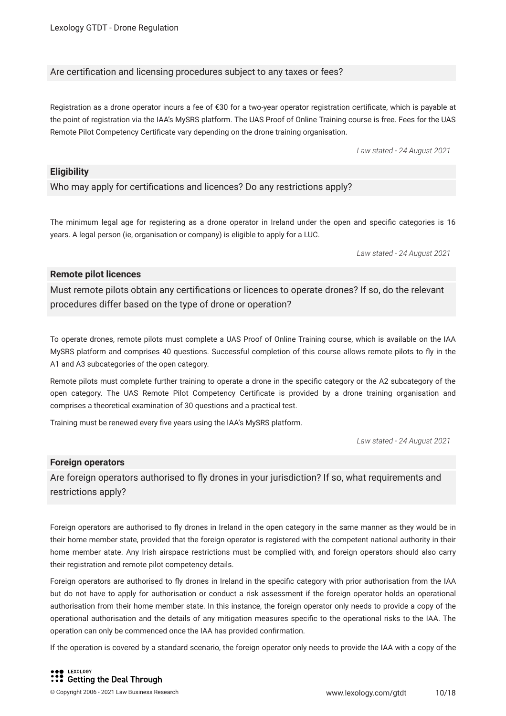#### Are certifcation and licensing procedures subject to any taxes or fees?

Registration as a drone operator incurs a fee of €30 for a two-year operator registration certifcate, which is payable at the point of registration via the IAA's MySRS platform. The UAS Proof of Online Training course is free. Fees for the UAS Remote Pilot Competency Certifcate vary depending on the drone training organisation.

*Law stated - 24 August 2021*

#### **Eligibility**

Who may apply for certifcations and licences? Do any restrictions apply?

The minimum legal age for registering as a drone operator in Ireland under the open and specifc categories is 16 years. A legal person (ie, organisation or company) is eligible to apply for a LUC.

*Law stated - 24 August 2021*

#### **Remote pilot licences**

Must remote pilots obtain any certifcations or licences to operate drones? If so, do the relevant procedures differ based on the type of drone or operation?

To operate drones, remote pilots must complete a UAS Proof of Online Training course, which is available on the IAA MySRS platform and comprises 40 questions. Successful completion of this course allows remote pilots to fy in the A1 and A3 subcategories of the open category.

Remote pilots must complete further training to operate a drone in the specifc category or the A2 subcategory of the open category. The UAS Remote Pilot Competency Certifcate is provided by a drone training organisation and comprises a theoretical examination of 30 questions and a practical test.

Training must be renewed every fve years using the IAA's MySRS platform.

*Law stated - 24 August 2021*

#### **Foreign operators**

Are foreign operators authorised to fy drones in your jurisdiction? If so, what requirements and restrictions apply?

Foreign operators are authorised to fly drones in Ireland in the open category in the same manner as they would be in their home member state, provided that the foreign operator is registered with the competent national authority in their home member atate. Any Irish airspace restrictions must be complied with, and foreign operators should also carry their registration and remote pilot competency details.

Foreign operators are authorised to fy drones in Ireland in the specifc category with prior authorisation from the IAA but do not have to apply for authorisation or conduct a risk assessment if the foreign operator holds an operational authorisation from their home member state. In this instance, the foreign operator only needs to provide a copy of the operational authorisation and the details of any mitigation measures specifc to the operational risks to the IAA. The operation can only be commenced once the IAA has provided confrmation.

If the operation is covered by a standard scenario, the foreign operator only needs to provide the IAA with a copy of the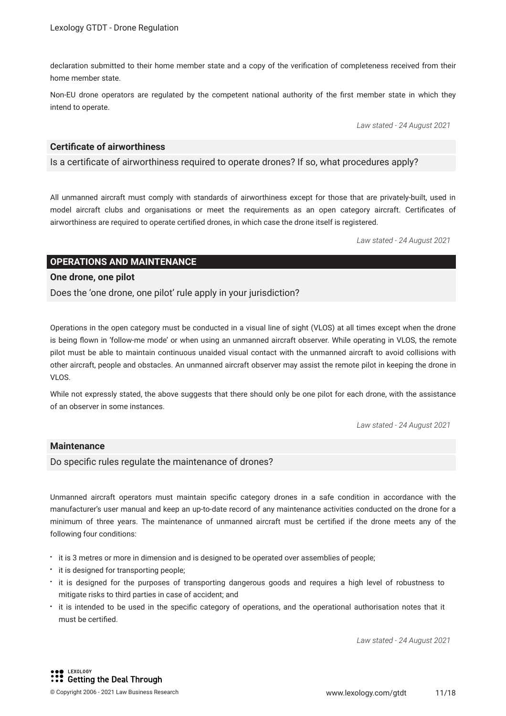declaration submitted to their home member state and a copy of the verifcation of completeness received from their home member state.

Non-EU drone operators are regulated by the competent national authority of the frst member state in which they intend to operate.

*Law stated - 24 August 2021*

#### **Certifcate of airworthiness**

Is a certifcate of airworthiness required to operate drones? If so, what procedures apply?

All unmanned aircraft must comply with standards of airworthiness except for those that are privately-built, used in model aircraft clubs and organisations or meet the requirements as an open category aircraft. Certifcates of airworthiness are required to operate certifed drones, in which case the drone itself is registered.

*Law stated - 24 August 2021*

#### **OPERATIONS AND MAINTENANCE**

#### **One drone, one pilot**

Does the 'one drone, one pilot' rule apply in your jurisdiction?

Operations in the open category must be conducted in a visual line of sight (VLOS) at all times except when the drone is being flown in 'follow-me mode' or when using an unmanned aircraft observer. While operating in VLOS, the remote pilot must be able to maintain continuous unaided visual contact with the unmanned aircraft to avoid collisions with other aircraft, people and obstacles. An unmanned aircraft observer may assist the remote pilot in keeping the drone in VLOS.

While not expressly stated, the above suggests that there should only be one pilot for each drone, with the assistance of an observer in some instances.

*Law stated - 24 August 2021*

#### **Maintenance**

Do specific rules regulate the maintenance of drones?

Unmanned aircraft operators must maintain specifc category drones in a safe condition in accordance with the manufacturer's user manual and keep an up-to-date record of any maintenance activities conducted on the drone for a minimum of three years. The maintenance of unmanned aircraft must be certifed if the drone meets any of the following four conditions:

- it is 3 metres or more in dimension and is designed to be operated over assemblies of people;
- $\cdot$  it is designed for transporting people;
- it is designed for the purposes of transporting dangerous goods and requires a high level of robustness to mitigate risks to third parties in case of accident; and
- it is intended to be used in the specifc category of operations, and the operational authorisation notes that it must be certifed.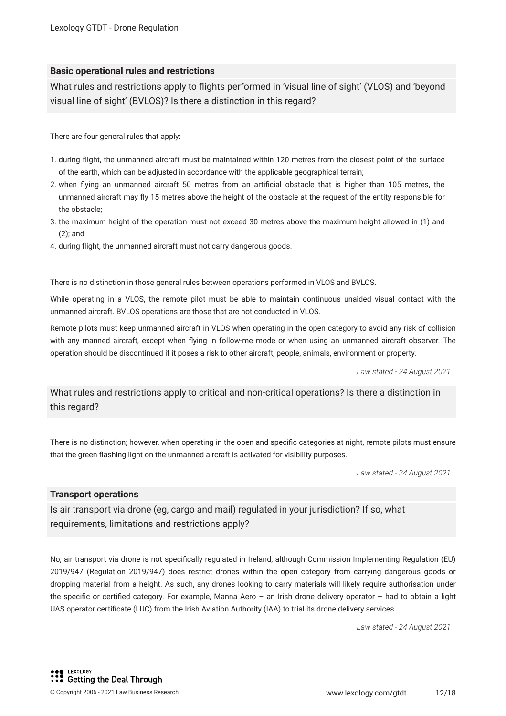#### **Basic operational rules and restrictions**

What rules and restrictions apply to fights performed in 'visual line of sight' (VLOS) and 'beyond visual line of sight' (BVLOS)? Is there a distinction in this regard?

There are four general rules that apply:

- 1. during fight, the unmanned aircraft must be maintained within 120 metres from the closest point of the surface of the earth, which can be adjusted in accordance with the applicable geographical terrain;
- 2. when fying an unmanned aircraft 50 metres from an artifcial obstacle that is higher than 105 metres, the unmanned aircraft may fy 15 metres above the height of the obstacle at the request of the entity responsible for the obstacle;
- 3. the maximum height of the operation must not exceed 30 metres above the maximum height allowed in (1) and (2); and
- 4. during fight, the unmanned aircraft must not carry dangerous goods.

There is no distinction in those general rules between operations performed in VLOS and BVLOS.

While operating in a VLOS, the remote pilot must be able to maintain continuous unaided visual contact with the unmanned aircraft. BVLOS operations are those that are not conducted in VLOS.

Remote pilots must keep unmanned aircraft in VLOS when operating in the open category to avoid any risk of collision with any manned aircraft, except when fying in follow-me mode or when using an unmanned aircraft observer. The operation should be discontinued if it poses a risk to other aircraft, people, animals, environment or property.

*Law stated - 24 August 2021*

What rules and restrictions apply to critical and non-critical operations? Is there a distinction in this regard?

There is no distinction; however, when operating in the open and specifc categories at night, remote pilots must ensure that the green fashing light on the unmanned aircraft is activated for visibility purposes.

*Law stated - 24 August 2021*

#### **Transport operations**

Is air transport via drone (eg, cargo and mail) regulated in your jurisdiction? If so, what requirements, limitations and restrictions apply?

No, air transport via drone is not specifcally regulated in Ireland, although Commission Implementing Regulation (EU) 2019/947 (Regulation 2019/947) does restrict drones within the open category from carrying dangerous goods or dropping material from a height. As such, any drones looking to carry materials will likely require authorisation under the specifc or certifed category. For example, Manna Aero – an Irish drone delivery operator – had to obtain a light UAS operator certifcate (LUC) from the Irish Aviation Authority (IAA) to trial its drone delivery services.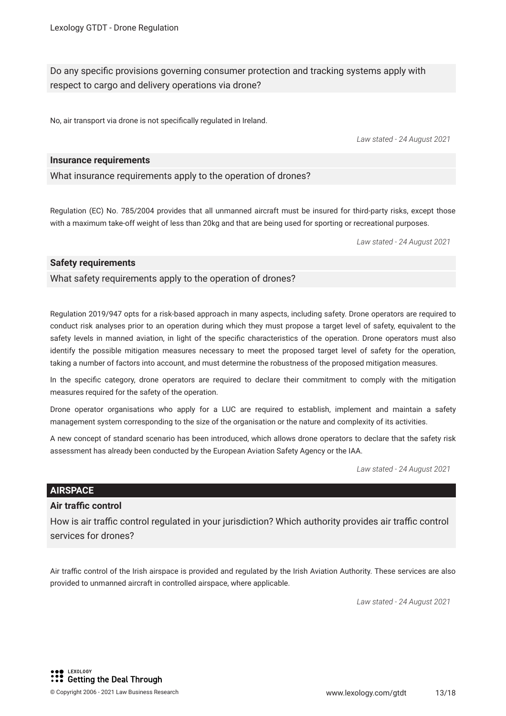Do any specifc provisions governing consumer protection and tracking systems apply with respect to cargo and delivery operations via drone?

No, air transport via drone is not specifcally regulated in Ireland.

*Law stated - 24 August 2021*

#### **Insurance requirements**

What insurance requirements apply to the operation of drones?

Regulation (EC) No. 785/2004 provides that all unmanned aircraft must be insured for third-party risks, except those with a maximum take-off weight of less than 20kg and that are being used for sporting or recreational purposes.

*Law stated - 24 August 2021*

#### **Safety requirements**

What safety requirements apply to the operation of drones?

Regulation 2019/947 opts for a risk-based approach in many aspects, including safety. Drone operators are required to conduct risk analyses prior to an operation during which they must propose a target level of safety, equivalent to the safety levels in manned aviation, in light of the specific characteristics of the operation. Drone operators must also identify the possible mitigation measures necessary to meet the proposed target level of safety for the operation, taking a number of factors into account, and must determine the robustness of the proposed mitigation measures.

In the specifc category, drone operators are required to declare their commitment to comply with the mitigation measures required for the safety of the operation.

Drone operator organisations who apply for a LUC are required to establish, implement and maintain a safety management system corresponding to the size of the organisation or the nature and complexity of its activities.

A new concept of standard scenario has been introduced, which allows drone operators to declare that the safety risk assessment has already been conducted by the European Aviation Safety Agency or the IAA.

*Law stated - 24 August 2021*

#### **AIRSPACE**

#### **Air traffic control**

How is air traffic control regulated in your jurisdiction? Which authority provides air traffic control services for drones?

Air traffic control of the Irish airspace is provided and regulated by the Irish Aviation Authority. These services are also provided to unmanned aircraft in controlled airspace, where applicable.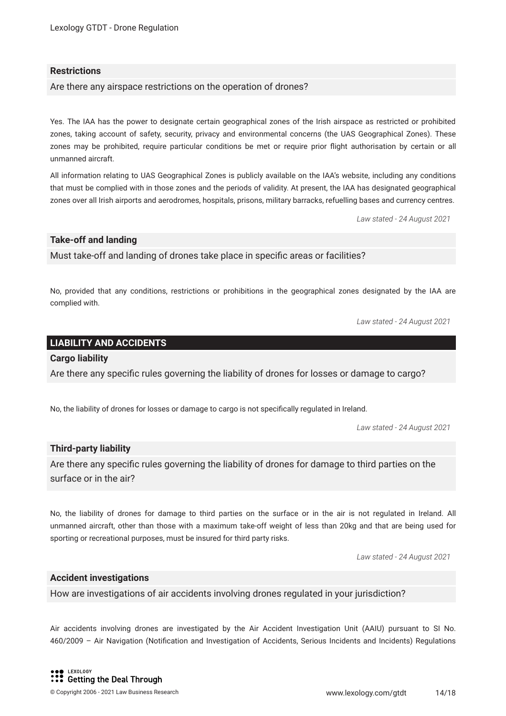#### **Restrictions**

Are there any airspace restrictions on the operation of drones?

Yes. The IAA has the power to designate certain geographical zones of the Irish airspace as restricted or prohibited zones, taking account of safety, security, privacy and environmental concerns (the UAS Geographical Zones). These zones may be prohibited, require particular conditions be met or require prior fight authorisation by certain or all unmanned aircraft.

All information relating to UAS Geographical Zones is publicly available on the IAA's website, including any conditions that must be complied with in those zones and the periods of validity. At present, the IAA has designated geographical zones over all Irish airports and aerodromes, hospitals, prisons, military barracks, refuelling bases and currency centres.

*Law stated - 24 August 2021*

#### **Take-off and landing**

Must take-off and landing of drones take place in specifc areas or facilities?

No, provided that any conditions, restrictions or prohibitions in the geographical zones designated by the IAA are complied with.

*Law stated - 24 August 2021*

#### **LIABILITY AND ACCIDENTS**

#### **Cargo liability**

Are there any specifc rules governing the liability of drones for losses or damage to cargo?

No, the liability of drones for losses or damage to cargo is not specifcally regulated in Ireland.

*Law stated - 24 August 2021*

#### **Third-party liability**

Are there any specifc rules governing the liability of drones for damage to third parties on the surface or in the air?

No, the liability of drones for damage to third parties on the surface or in the air is not regulated in Ireland. All unmanned aircraft, other than those with a maximum take-off weight of less than 20kg and that are being used for sporting or recreational purposes, must be insured for third party risks.

*Law stated - 24 August 2021*

#### **Accident investigations**

How are investigations of air accidents involving drones regulated in your jurisdiction?

Air accidents involving drones are investigated by the Air Accident Investigation Unit (AAIU) pursuant to SI No. 460/2009 – Air Navigation (Notifcation and Investigation of Accidents, Serious Incidents and Incidents) Regulations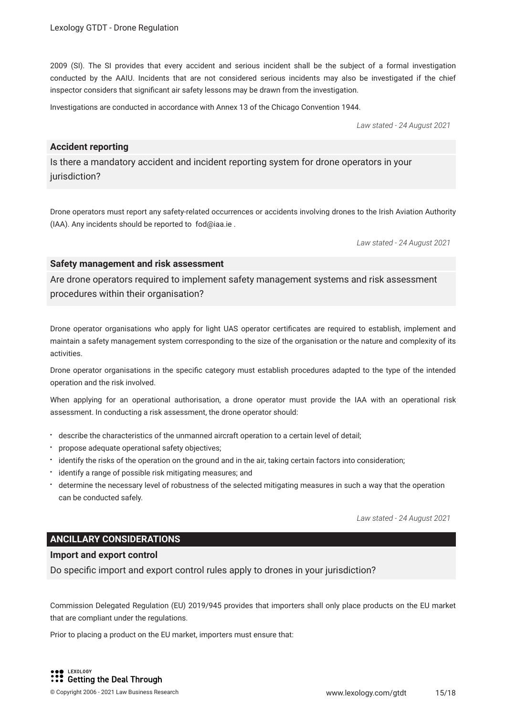2009 (SI). The SI provides that every accident and serious incident shall be the subject of a formal investigation conducted by the AAIU. Incidents that are not considered serious incidents may also be investigated if the chief inspector considers that signifcant air safety lessons may be drawn from the investigation.

Investigations are conducted in accordance with Annex 13 of the Chicago Convention 1944.

*Law stated - 24 August 2021*

#### **Accident reporting**

Is there a mandatory accident and incident reporting system for drone operators in your jurisdiction?

Drone operators must report any safety-related occurrences or accidents involving drones to the Irish Aviation Authority (IAA). Any incidents should be reported to fod@iaa.ie .

*Law stated - 24 August 2021*

#### **Safety management and risk assessment**

Are drone operators required to implement safety management systems and risk assessment procedures within their organisation?

Drone operator organisations who apply for light UAS operator certifcates are required to establish, implement and maintain a safety management system corresponding to the size of the organisation or the nature and complexity of its activities.

Drone operator organisations in the specifc category must establish procedures adapted to the type of the intended operation and the risk involved.

When applying for an operational authorisation, a drone operator must provide the IAA with an operational risk assessment. In conducting a risk assessment, the drone operator should:

- describe the characteristics of the unmanned aircraft operation to a certain level of detail;
- propose adequate operational safety objectives;
- identify the risks of the operation on the ground and in the air, taking certain factors into consideration;
- $\cdot$  identify a range of possible risk mitigating measures; and
- determine the necessary level of robustness of the selected mitigating measures in such a way that the operation can be conducted safely.

*Law stated - 24 August 2021*

#### **ANCILLARY CONSIDERATIONS**

#### **Import and export control**

Do specifc import and export control rules apply to drones in your jurisdiction?

Commission Delegated Regulation (EU) 2019/945 provides that importers shall only place products on the EU market that are compliant under the regulations.

Prior to placing a product on the EU market, importers must ensure that: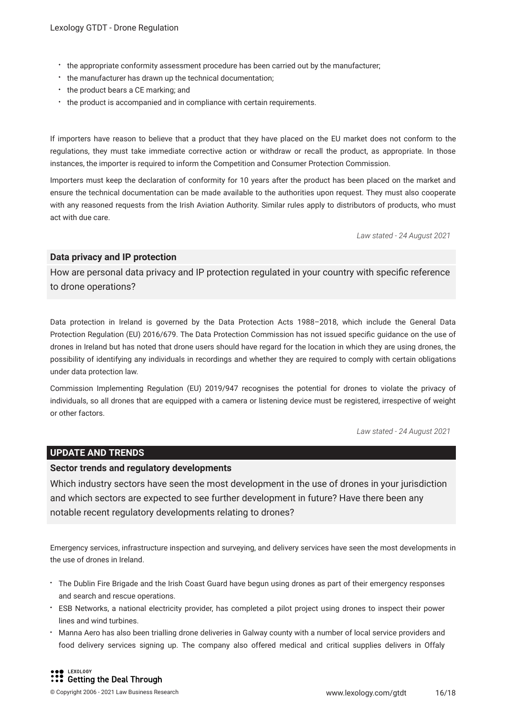- the appropriate conformity assessment procedure has been carried out by the manufacturer;
- the manufacturer has drawn up the technical documentation;
- the product bears a CE marking; and
- the product is accompanied and in compliance with certain requirements.

If importers have reason to believe that a product that they have placed on the EU market does not conform to the regulations, they must take immediate corrective action or withdraw or recall the product, as appropriate. In those instances, the importer is required to inform the Competition and Consumer Protection Commission.

Importers must keep the declaration of conformity for 10 years after the product has been placed on the market and ensure the technical documentation can be made available to the authorities upon request. They must also cooperate with any reasoned requests from the Irish Aviation Authority. Similar rules apply to distributors of products, who must act with due care.

*Law stated - 24 August 2021*

#### **Data privacy and IP protection**

How are personal data privacy and IP protection regulated in your country with specifc reference to drone operations?

Data protection in Ireland is governed by the Data Protection Acts 1988–2018, which include the General Data Protection Regulation (EU) 2016/679. The Data Protection Commission has not issued specifc guidance on the use of drones in Ireland but has noted that drone users should have regard for the location in which they are using drones, the possibility of identifying any individuals in recordings and whether they are required to comply with certain obligations under data protection law.

Commission Implementing Regulation (EU) 2019/947 recognises the potential for drones to violate the privacy of individuals, so all drones that are equipped with a camera or listening device must be registered, irrespective of weight or other factors.

*Law stated - 24 August 2021*

#### **UPDATE AND TRENDS**

#### **Sector trends and regulatory developments**

Which industry sectors have seen the most development in the use of drones in your jurisdiction and which sectors are expected to see further development in future? Have there been any notable recent regulatory developments relating to drones?

Emergency services, infrastructure inspection and surveying, and delivery services have seen the most developments in the use of drones in Ireland.

- The Dublin Fire Brigade and the Irish Coast Guard have begun using drones as part of their emergency responses and search and rescue operations.
- ESB Networks, a national electricity provider, has completed a pilot project using drones to inspect their power lines and wind turbines.
- Manna Aero has also been trialling drone deliveries in Galway county with a number of local service providers and food delivery services signing up. The company also offered medical and critical supplies delivers in Offaly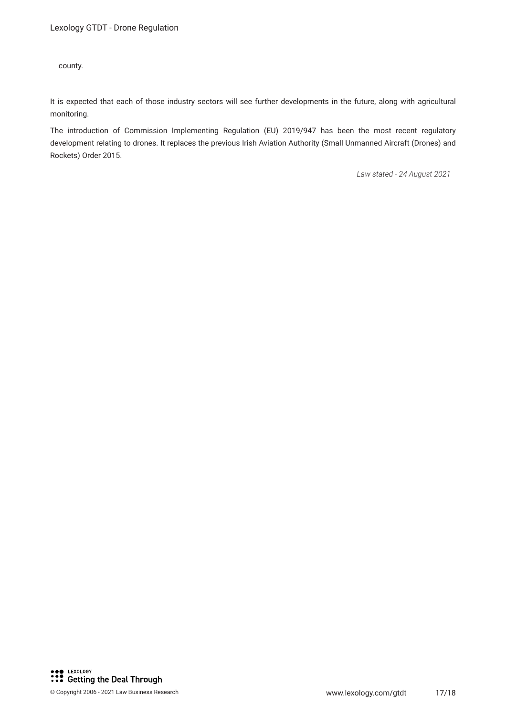county.

It is expected that each of those industry sectors will see further developments in the future, along with agricultural monitoring.

The introduction of Commission Implementing Regulation (EU) 2019/947 has been the most recent regulatory development relating to drones. It replaces the previous Irish Aviation Authority (Small Unmanned Aircraft (Drones) and Rockets) Order 2015.